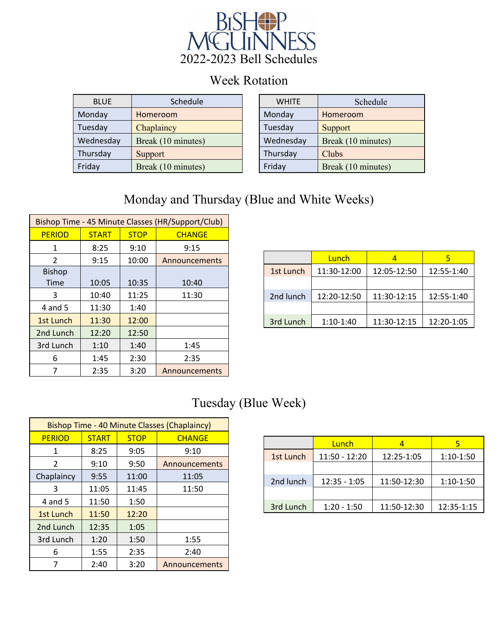

## Week Rotation

| <b>BLUE</b> | Schedule           | <b>WHITE</b> | Schedule           |
|-------------|--------------------|--------------|--------------------|
| Monday      | Homeroom           | Monday       | Homeroom           |
| Tuesday     | Chaplaincy         | Tuesday      | <b>Support</b>     |
| Wednesday   | Break (10 minutes) | Wednesday    | Break (10 minutes) |
| Thursday    | Support            | Thursday     | Clubs              |
| Friday      | Break (10 minutes) | Friday       | Break (10 minutes) |

| <b>WHITE</b> | Schedule           |  |  |
|--------------|--------------------|--|--|
| Monday       | Homeroom           |  |  |
| Tuesday      | Support            |  |  |
| Wednesday    | Break (10 minutes) |  |  |
| Thursday     | Clubs              |  |  |
| Friday       | Break (10 minutes) |  |  |

## Monday and Thursday (Blue and White Weeks)

| Bishop Time - 45 Minute Classes (HR/Support/Club) |              |             |               |  |  |
|---------------------------------------------------|--------------|-------------|---------------|--|--|
| <b>PERIOD</b>                                     | <b>START</b> | <b>STOP</b> | <b>CHANGE</b> |  |  |
| 1                                                 | 8:25         | 9:10        | 9:15          |  |  |
| $\mathfrak{p}$                                    | 9:15         | 10:00       | Announcements |  |  |
| <b>Bishop</b>                                     |              |             |               |  |  |
| Time                                              | 10:05        | 10:35       | 10:40         |  |  |
| 3                                                 | 10:40        | 11:25       | 11:30         |  |  |
| 4 and 5                                           | 11:30        | 1:40        |               |  |  |
| 1st Lunch                                         | 11:30        | 12:00       |               |  |  |
| 2nd Lunch<br>12:50<br>12:20                       |              |             |               |  |  |
| 3rd Lunch                                         | 1:10         | 1:40        | 1:45          |  |  |
| 6                                                 | 1:45         | 2:30        | 2:35          |  |  |
|                                                   | 2:35         | 3:20        | Announcements |  |  |

|           | Lunch       |             |            |
|-----------|-------------|-------------|------------|
| 1st Lunch | 11:30-12:00 | 12:05-12:50 | 12:55-1:40 |
|           |             |             |            |
| 2nd lunch | 12:20-12:50 | 11:30-12:15 | 12:55-1:40 |
|           |             |             |            |
| 3rd Lunch | $1:10-1:40$ | 11:30-12:15 | 12:20-1:05 |

## Tuesday (Blue Week)

| <b>Bishop Time - 40 Minute Classes (Chaplaincy)</b> |              |             |               |  |  |
|-----------------------------------------------------|--------------|-------------|---------------|--|--|
| <b>PERIOD</b>                                       | <b>START</b> | <b>STOP</b> | <b>CHANGE</b> |  |  |
| 1                                                   | 8:25         | 9:05        | 9:10          |  |  |
| 2                                                   | 9:10         | 9:50        | Announcements |  |  |
| Chaplaincy                                          | 9:55         | 11:00       | 11:05         |  |  |
| 3                                                   | 11:05        | 11:45       | 11:50         |  |  |
| 4 and 5                                             | 11:50        | 1:50        |               |  |  |
| 1st Lunch                                           | 11:50        | 12:20       |               |  |  |
| 2nd Lunch                                           | 12:35        | 1:05        |               |  |  |
| 3rd Lunch                                           | 1:20         | 1:50        | 1:55          |  |  |
| 6                                                   | 1:55         | 2:35        | 2:40          |  |  |
|                                                     | 2:40         | 3:20        | Announcements |  |  |

|           | Lunch           |             |             |
|-----------|-----------------|-------------|-------------|
| 1st Lunch | $11:50 - 12:20$ | 12:25-1:05  | $1:10-1:50$ |
|           |                 |             |             |
| 2nd lunch | $12:35 - 1:05$  | 11:50-12:30 | $1:10-1:50$ |
|           |                 |             |             |
| 3rd Lunch | $1:20 - 1:50$   | 11:50-12:30 | 12:35-1:15  |